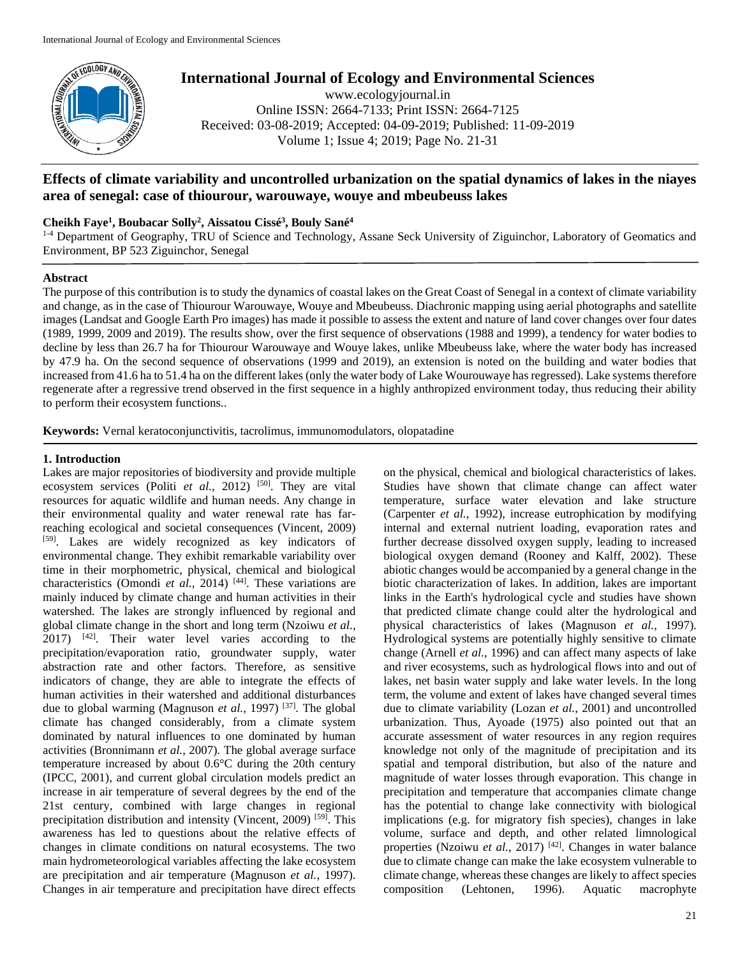

# **International Journal of Ecology and Environmental Sciences**

www.ecologyjournal.in Online ISSN: 2664-7133; Print ISSN: 2664-7125 Received: 03-08-2019; Accepted: 04-09-2019; Published: 11-09-2019 Volume 1; Issue 4; 2019; Page No. 21-31

## **Effects of climate variability and uncontrolled urbanization on the spatial dynamics of lakes in the niayes area of senegal: case of thiourour, warouwaye, wouye and mbeubeuss lakes**

### **Cheikh Faye<sup>1</sup> , Boubacar Solly<sup>2</sup> , Aissatou Cissé<sup>3</sup> , Bouly Sané<sup>4</sup>**

<sup>1-4</sup> Department of Geography, TRU of Science and Technology, Assane Seck University of Ziguinchor, Laboratory of Geomatics and Environment, BP 523 Ziguinchor, Senegal

#### **Abstract**

The purpose of this contribution is to study the dynamics of coastal lakes on the Great Coast of Senegal in a context of climate variability and change, as in the case of Thiourour Warouwaye, Wouye and Mbeubeuss. Diachronic mapping using aerial photographs and satellite images (Landsat and Google Earth Pro images) has made it possible to assess the extent and nature of land cover changes over four dates (1989, 1999, 2009 and 2019). The results show, over the first sequence of observations (1988 and 1999), a tendency for water bodies to decline by less than 26.7 ha for Thiourour Warouwaye and Wouye lakes, unlike Mbeubeuss lake, where the water body has increased by 47.9 ha. On the second sequence of observations (1999 and 2019), an extension is noted on the building and water bodies that increased from 41.6 ha to 51.4 ha on the different lakes (only the water body of Lake Wourouwaye has regressed). Lake systems therefore regenerate after a regressive trend observed in the first sequence in a highly anthropized environment today, thus reducing their ability to perform their ecosystem functions..

**Keywords:** Vernal keratoconjunctivitis, tacrolimus, immunomodulators, olopatadine

#### **1. Introduction**

Lakes are major repositories of biodiversity and provide multiple ecosystem services (Politi *et al.*, 2012) <sup>[50]</sup>. They are vital resources for aquatic wildlife and human needs. Any change in their environmental quality and water renewal rate has farreaching ecological and societal consequences (Vincent, 2009) [59]. Lakes are widely recognized as key indicators of environmental change. They exhibit remarkable variability over time in their morphometric, physical, chemical and biological characteristics (Omondi *et al.*, 2014)<sup>[44]</sup>. These variations are mainly induced by climate change and human activities in their watershed. The lakes are strongly influenced by regional and global climate change in the short and long term (Nzoiwu *et al.*,  $2017$ )  $^{[42]}$ . Their water level varies according to the precipitation/evaporation ratio, groundwater supply, water abstraction rate and other factors. Therefore, as sensitive indicators of change, they are able to integrate the effects of human activities in their watershed and additional disturbances due to global warming (Magnuson *et al.*, 1997)<sup>[37]</sup>. The global climate has changed considerably, from a climate system dominated by natural influences to one dominated by human activities (Bronnimann *et al.*, 2007). The global average surface temperature increased by about 0.6°C during the 20th century (IPCC, 2001), and current global circulation models predict an increase in air temperature of several degrees by the end of the 21st century, combined with large changes in regional precipitation distribution and intensity (Vincent, 2009) [59]. This awareness has led to questions about the relative effects of changes in climate conditions on natural ecosystems. The two main hydrometeorological variables affecting the lake ecosystem are precipitation and air temperature (Magnuson *et al.*, 1997). Changes in air temperature and precipitation have direct effects

on the physical, chemical and biological characteristics of lakes. Studies have shown that climate change can affect water temperature, surface water elevation and lake structure (Carpenter *et al.*, 1992), increase eutrophication by modifying internal and external nutrient loading, evaporation rates and further decrease dissolved oxygen supply, leading to increased biological oxygen demand (Rooney and Kalff, 2002). These abiotic changes would be accompanied by a general change in the biotic characterization of lakes. In addition, lakes are important links in the Earth's hydrological cycle and studies have shown that predicted climate change could alter the hydrological and physical characteristics of lakes (Magnuson *et al.*, 1997). Hydrological systems are potentially highly sensitive to climate change (Arnell *et al.*, 1996) and can affect many aspects of lake and river ecosystems, such as hydrological flows into and out of lakes, net basin water supply and lake water levels. In the long term, the volume and extent of lakes have changed several times due to climate variability (Lozan *et al.*, 2001) and uncontrolled urbanization. Thus, Ayoade (1975) also pointed out that an accurate assessment of water resources in any region requires knowledge not only of the magnitude of precipitation and its spatial and temporal distribution, but also of the nature and magnitude of water losses through evaporation. This change in precipitation and temperature that accompanies climate change has the potential to change lake connectivity with biological implications (e.g. for migratory fish species), changes in lake volume, surface and depth, and other related limnological properties (Nzoiwu *et al.*, 2017)<sup>[42]</sup>. Changes in water balance due to climate change can make the lake ecosystem vulnerable to climate change, whereas these changes are likely to affect species composition (Lehtonen, 1996). Aquatic macrophyte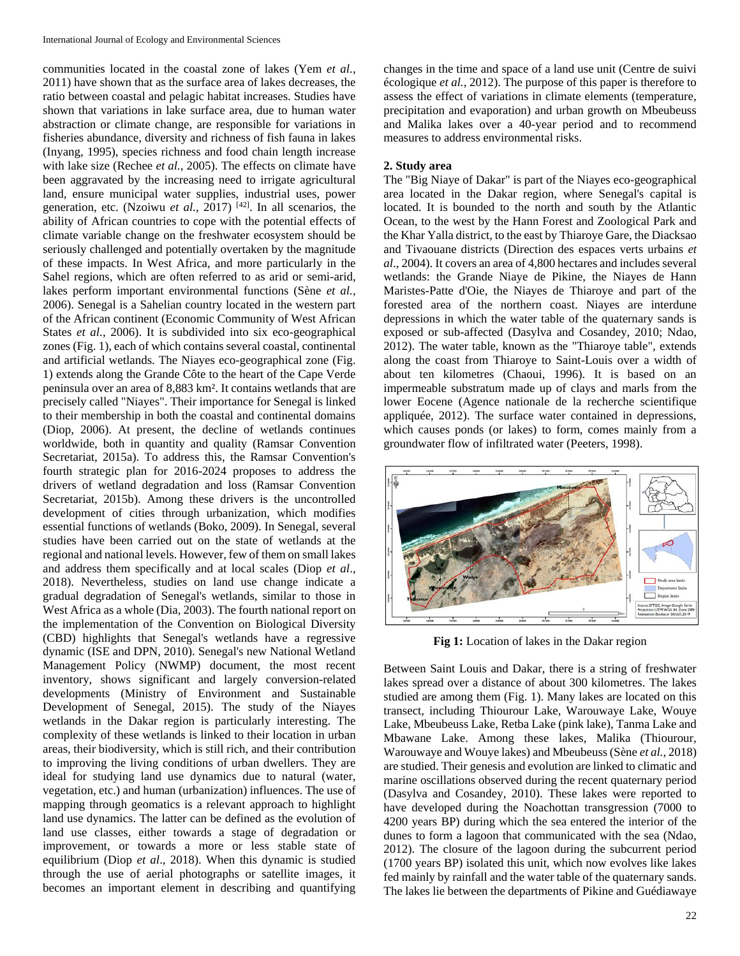communities located in the coastal zone of lakes (Yem *et al.*, 2011) have shown that as the surface area of lakes decreases, the ratio between coastal and pelagic habitat increases. Studies have shown that variations in lake surface area, due to human water abstraction or climate change, are responsible for variations in fisheries abundance, diversity and richness of fish fauna in lakes (Inyang, 1995), species richness and food chain length increase with lake size (Rechee *et al.*, 2005). The effects on climate have been aggravated by the increasing need to irrigate agricultural land, ensure municipal water supplies, industrial uses, power generation, etc. (Nzoiwu *et al.*, 2017) [42]. In all scenarios, the ability of African countries to cope with the potential effects of climate variable change on the freshwater ecosystem should be seriously challenged and potentially overtaken by the magnitude of these impacts. In West Africa, and more particularly in the Sahel regions, which are often referred to as arid or semi-arid, lakes perform important environmental functions (Sène *et al.*, 2006). Senegal is a Sahelian country located in the western part of the African continent (Economic Community of West African States *et al.*, 2006). It is subdivided into six eco-geographical zones (Fig. 1), each of which contains several coastal, continental and artificial wetlands. The Niayes eco-geographical zone (Fig. 1) extends along the Grande Côte to the heart of the Cape Verde peninsula over an area of 8,883 km². It contains wetlands that are precisely called "Niayes". Their importance for Senegal is linked to their membership in both the coastal and continental domains (Diop, 2006). At present, the decline of wetlands continues worldwide, both in quantity and quality (Ramsar Convention Secretariat, 2015a). To address this, the Ramsar Convention's fourth strategic plan for 2016-2024 proposes to address the drivers of wetland degradation and loss (Ramsar Convention Secretariat, 2015b). Among these drivers is the uncontrolled development of cities through urbanization, which modifies essential functions of wetlands (Boko, 2009). In Senegal, several studies have been carried out on the state of wetlands at the regional and national levels. However, few of them on small lakes and address them specifically and at local scales (Diop *et al*., 2018). Nevertheless, studies on land use change indicate a gradual degradation of Senegal's wetlands, similar to those in West Africa as a whole (Dia, 2003). The fourth national report on the implementation of the Convention on Biological Diversity (CBD) highlights that Senegal's wetlands have a regressive dynamic (ISE and DPN, 2010). Senegal's new National Wetland Management Policy (NWMP) document, the most recent inventory, shows significant and largely conversion-related developments (Ministry of Environment and Sustainable Development of Senegal, 2015). The study of the Niayes wetlands in the Dakar region is particularly interesting. The complexity of these wetlands is linked to their location in urban areas, their biodiversity, which is still rich, and their contribution to improving the living conditions of urban dwellers. They are ideal for studying land use dynamics due to natural (water, vegetation, etc.) and human (urbanization) influences. The use of mapping through geomatics is a relevant approach to highlight land use dynamics. The latter can be defined as the evolution of land use classes, either towards a stage of degradation or improvement, or towards a more or less stable state of equilibrium (Diop *et al*., 2018). When this dynamic is studied through the use of aerial photographs or satellite images, it becomes an important element in describing and quantifying

changes in the time and space of a land use unit (Centre de suivi écologique *et al.,* 2012). The purpose of this paper is therefore to assess the effect of variations in climate elements (temperature, precipitation and evaporation) and urban growth on Mbeubeuss and Malika lakes over a 40-year period and to recommend measures to address environmental risks.

## **2. Study area**

The "Big Niaye of Dakar" is part of the Niayes eco-geographical area located in the Dakar region, where Senegal's capital is located. It is bounded to the north and south by the Atlantic Ocean, to the west by the Hann Forest and Zoological Park and the Khar Yalla district, to the east by Thiaroye Gare, the Diacksao and Tivaouane districts (Direction des espaces verts urbains *et al*., 2004). It covers an area of 4,800 hectares and includes several wetlands: the Grande Niaye de Pikine, the Niayes de Hann Maristes-Patte d'Oie, the Niayes de Thiaroye and part of the forested area of the northern coast. Niayes are interdune depressions in which the water table of the quaternary sands is exposed or sub-affected (Dasylva and Cosandey, 2010; Ndao, 2012). The water table, known as the "Thiaroye table", extends along the coast from Thiaroye to Saint-Louis over a width of about ten kilometres (Chaoui, 1996). It is based on an impermeable substratum made up of clays and marls from the lower Eocene (Agence nationale de la recherche scientifique appliquée, 2012). The surface water contained in depressions, which causes ponds (or lakes) to form, comes mainly from a groundwater flow of infiltrated water (Peeters, 1998).



**Fig 1:** Location of lakes in the Dakar region

Between Saint Louis and Dakar, there is a string of freshwater lakes spread over a distance of about 300 kilometres. The lakes studied are among them (Fig. 1). Many lakes are located on this transect, including Thiourour Lake, Warouwaye Lake, Wouye Lake, Mbeubeuss Lake, Retba Lake (pink lake), Tanma Lake and Mbawane Lake. Among these lakes, Malika (Thiourour, Warouwaye and Wouye lakes) and Mbeubeuss (Sène *et al.*, 2018) are studied. Their genesis and evolution are linked to climatic and marine oscillations observed during the recent quaternary period (Dasylva and Cosandey, 2010). These lakes were reported to have developed during the Noachottan transgression (7000 to 4200 years BP) during which the sea entered the interior of the dunes to form a lagoon that communicated with the sea (Ndao, 2012). The closure of the lagoon during the subcurrent period (1700 years BP) isolated this unit, which now evolves like lakes fed mainly by rainfall and the water table of the quaternary sands. The lakes lie between the departments of Pikine and Guédiawaye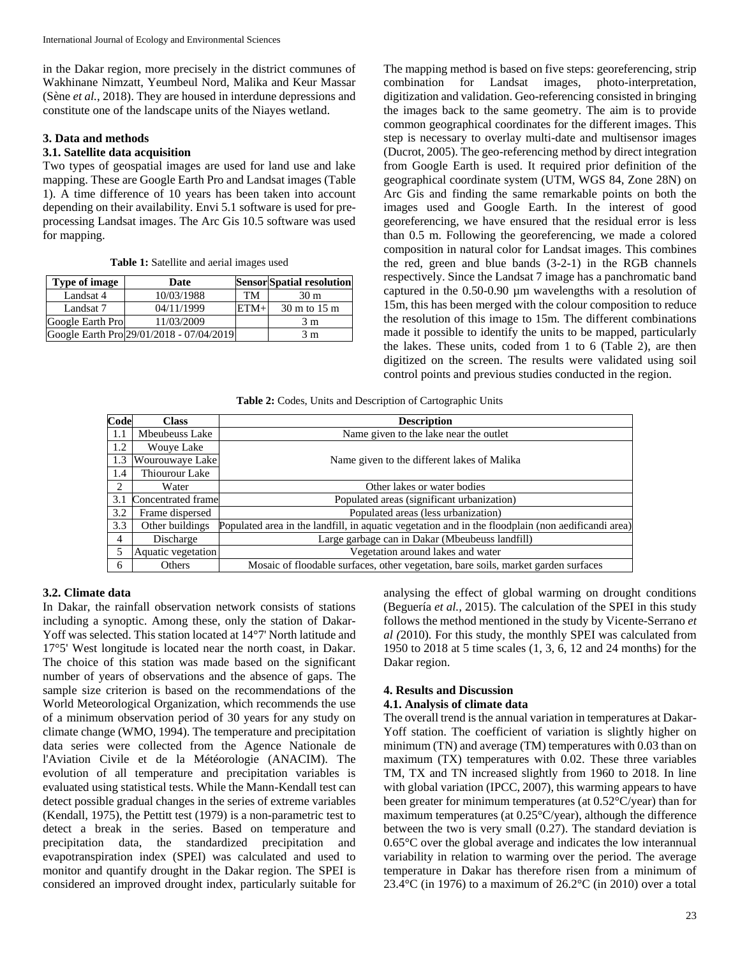in the Dakar region, more precisely in the district communes of Wakhinane Nimzatt, Yeumbeul Nord, Malika and Keur Massar (Sène *et al.*, 2018). They are housed in interdune depressions and constitute one of the landscape units of the Niayes wetland.

#### **3. Data and methods**

### **3.1. Satellite data acquisition**

Two types of geospatial images are used for land use and lake mapping. These are Google Earth Pro and Landsat images (Table 1). A time difference of 10 years has been taken into account depending on their availability. Envi 5.1 software is used for preprocessing Landsat images. The Arc Gis 10.5 software was used for mapping.

**Table 1:** Satellite and aerial images used

| Type of image    | Date                                     |        | <b>Sensor Spatial resolution</b> |
|------------------|------------------------------------------|--------|----------------------------------|
| Landsat 4        | 10/03/1988                               | TM     | 30 <sub>m</sub>                  |
| Landsat 7        | 04/11/1999                               | $ETM+$ | 30 m to 15 m                     |
| Google Earth Pro | 11/03/2009                               |        | 3 m                              |
|                  | Google Earth Pro 29/01/2018 - 07/04/2019 |        | 3 m                              |

The mapping method is based on five steps: georeferencing, strip combination for Landsat images, photo-interpretation, digitization and validation. Geo-referencing consisted in bringing the images back to the same geometry. The aim is to provide common geographical coordinates for the different images. This step is necessary to overlay multi-date and multisensor images (Ducrot, 2005). The geo-referencing method by direct integration from Google Earth is used. It required prior definition of the geographical coordinate system (UTM, WGS 84, Zone 28N) on Arc Gis and finding the same remarkable points on both the images used and Google Earth. In the interest of good georeferencing, we have ensured that the residual error is less than 0.5 m. Following the georeferencing, we made a colored composition in natural color for Landsat images. This combines the red, green and blue bands (3-2-1) in the RGB channels respectively. Since the Landsat 7 image has a panchromatic band captured in the 0.50-0.90 µm wavelengths with a resolution of 15m, this has been merged with the colour composition to reduce the resolution of this image to 15m. The different combinations made it possible to identify the units to be mapped, particularly the lakes. These units, coded from 1 to 6 (Table 2), are then digitized on the screen. The results were validated using soil control points and previous studies conducted in the region.

**Table 2:** Codes, Units and Description of Cartographic Units

| Code | <b>Class</b>       | <b>Description</b>                                                                                 |
|------|--------------------|----------------------------------------------------------------------------------------------------|
| 1.1  | Mbeubeuss Lake     | Name given to the lake near the outlet                                                             |
| 1.2  | <b>Wouve Lake</b>  |                                                                                                    |
| 1.3  | Wourouwaye Lake    | Name given to the different lakes of Malika                                                        |
| 1.4  | Thiourour Lake     |                                                                                                    |
| 2    | Water              | Other lakes or water bodies                                                                        |
| 3.1  | Concentrated frame | Populated areas (significant urbanization)                                                         |
| 3.2  | Frame dispersed    | Populated areas (less urbanization)                                                                |
| 3.3  | Other buildings    | Populated area in the landfill, in aquatic vegetation and in the floodplain (non aedificandi area) |
| 4    | Discharge          | Large garbage can in Dakar (Mbeubeuss landfill)                                                    |
| 5    | Aquatic vegetation | Vegetation around lakes and water                                                                  |
| 6    | Others             | Mosaic of floodable surfaces, other vegetation, bare soils, market garden surfaces                 |

#### **3.2. Climate data**

In Dakar, the rainfall observation network consists of stations including a synoptic. Among these, only the station of Dakar-Yoff was selected. This station located at 14°7' North latitude and 17°5' West longitude is located near the north coast, in Dakar. The choice of this station was made based on the significant number of years of observations and the absence of gaps. The sample size criterion is based on the recommendations of the World Meteorological Organization, which recommends the use of a minimum observation period of 30 years for any study on climate change (WMO, 1994). The temperature and precipitation data series were collected from the Agence Nationale de l'Aviation Civile et de la Météorologie (ANACIM). The evolution of all temperature and precipitation variables is evaluated using statistical tests. While the Mann-Kendall test can detect possible gradual changes in the series of extreme variables (Kendall, 1975), the Pettitt test (1979) is a non-parametric test to detect a break in the series. Based on temperature and precipitation data, the standardized precipitation and evapotranspiration index (SPEI) was calculated and used to monitor and quantify drought in the Dakar region. The SPEI is considered an improved drought index, particularly suitable for

analysing the effect of global warming on drought conditions (Beguería *et al.,* 2015). The calculation of the SPEI in this study follows the method mentioned in the study by Vicente-Serrano *et al (*2010)*.* For this study, the monthly SPEI was calculated from 1950 to 2018 at 5 time scales (1, 3, 6, 12 and 24 months) for the Dakar region.

## **4. Results and Discussion**

#### **4.1. Analysis of climate data**

The overall trend is the annual variation in temperatures at Dakar-Yoff station. The coefficient of variation is slightly higher on minimum (TN) and average (TM) temperatures with 0.03 than on maximum (TX) temperatures with 0.02. These three variables TM, TX and TN increased slightly from 1960 to 2018. In line with global variation (IPCC, 2007), this warming appears to have been greater for minimum temperatures (at 0.52°C/year) than for maximum temperatures (at 0.25°C/year), although the difference between the two is very small (0.27). The standard deviation is 0.65°C over the global average and indicates the low interannual variability in relation to warming over the period. The average temperature in Dakar has therefore risen from a minimum of 23.4 $\rm{°C}$  (in 1976) to a maximum of 26.2 $\rm{°C}$  (in 2010) over a total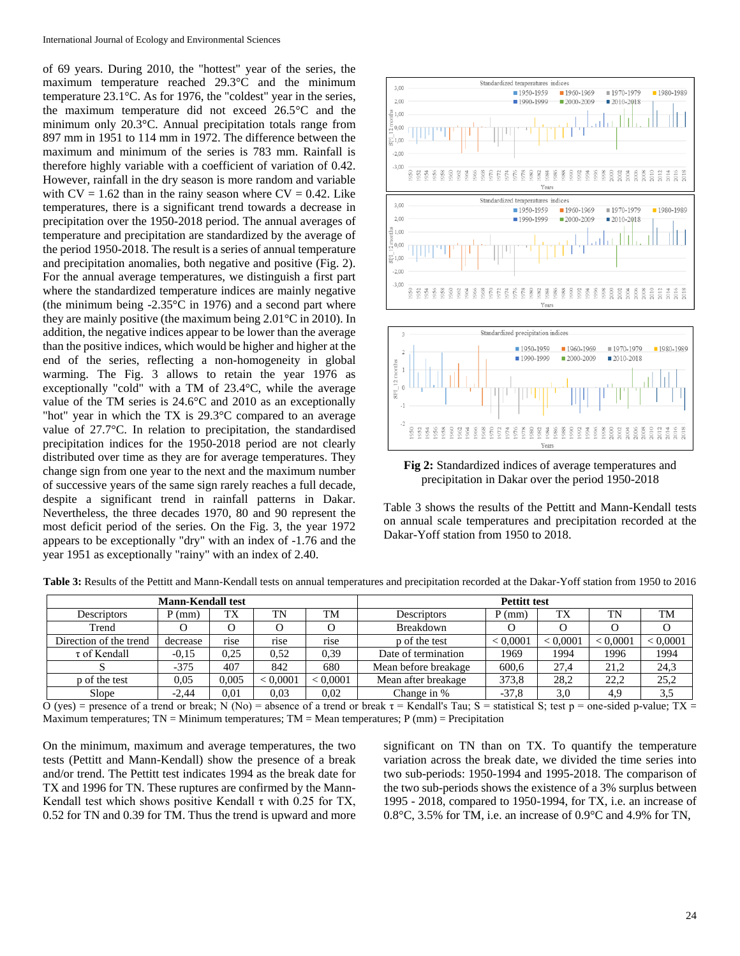of 69 years. During 2010, the "hottest" year of the series, the maximum temperature reached 29.3°C and the minimum temperature 23.1°C. As for 1976, the "coldest" year in the series, the maximum temperature did not exceed 26.5°C and the minimum only 20.3°C. Annual precipitation totals range from 897 mm in 1951 to 114 mm in 1972. The difference between the maximum and minimum of the series is 783 mm. Rainfall is therefore highly variable with a coefficient of variation of 0.42. However, rainfall in the dry season is more random and variable with  $CV = 1.62$  than in the rainy season where  $CV = 0.42$ . Like temperatures, there is a significant trend towards a decrease in precipitation over the 1950-2018 period. The annual averages of temperature and precipitation are standardized by the average of the period 1950-2018. The result is a series of annual temperature and precipitation anomalies, both negative and positive (Fig. 2). For the annual average temperatures, we distinguish a first part where the standardized temperature indices are mainly negative (the minimum being  $-2.35^{\circ}$ C in 1976) and a second part where they are mainly positive (the maximum being 2.01°C in 2010). In addition, the negative indices appear to be lower than the average than the positive indices, which would be higher and higher at the end of the series, reflecting a non-homogeneity in global warming. The Fig. 3 allows to retain the year 1976 as exceptionally "cold" with a TM of 23.4°C, while the average value of the TM series is 24.6°C and 2010 as an exceptionally "hot" year in which the TX is 29.3°C compared to an average value of 27.7°C. In relation to precipitation, the standardised precipitation indices for the 1950-2018 period are not clearly distributed over time as they are for average temperatures. They change sign from one year to the next and the maximum number of successive years of the same sign rarely reaches a full decade, despite a significant trend in rainfall patterns in Dakar. Nevertheless, the three decades 1970, 80 and 90 represent the most deficit period of the series. On the Fig. 3, the year 1972 appears to be exceptionally "dry" with an index of -1.76 and the year 1951 as exceptionally "rainy" with an index of 2.40.



**Fig 2:** Standardized indices of average temperatures and precipitation in Dakar over the period 1950-2018

Table 3 shows the results of the Pettitt and Mann-Kendall tests on annual scale temperatures and precipitation recorded at the Dakar-Yoff station from 1950 to 2018.

| <b>Mann-Kendall test</b> |          |       |          |          | <b>Pettitt test</b>  |          |          |          |          |  |
|--------------------------|----------|-------|----------|----------|----------------------|----------|----------|----------|----------|--|
| <b>Descriptors</b>       | (mm)     | TX    | TN       | TM       | <b>Descriptors</b>   | $P$ (mm) | TX       | TN       | TM       |  |
| Trend                    |          |       |          |          | Breakdown            |          |          |          |          |  |
| Direction of the trend   | decrease | rise  | rise     | rise     | p of the test        | < 0.0001 | < 0.0001 | < 0.0001 | < 0.0001 |  |
| $\tau$ of Kendall        | $-0.15$  | 0.25  | 0.52     | 0,39     | Date of termination  | 1969     | 1994     | 1996     | 1994     |  |
|                          | $-375$   | 407   | 842      | 680      | Mean before breakage | 600.6    | 27.4     | 21.2     | 24,3     |  |
| p of the test            | 0.05     | 0.005 | < 0.0001 | < 0.0001 | Mean after breakage  | 373.8    | 28,2     | 22,2     | 25,2     |  |
| Slope                    | $-2.44$  | 0.01  | 0.03     | 0.02     | Change in %          | $-37.8$  | 3,0      | 4,9      | 3,5      |  |

Table 3: Results of the Pettitt and Mann-Kendall tests on annual temperatures and precipitation recorded at the Dakar-Yoff station from 1950 to 2016

O (yes) = presence of a trend or break; N (No) = absence of a trend or break τ = Kendall's Tau; S = statistical S; test p = one-sided p-value; TX = Maximum temperatures;  $TN =$  Minimum temperatures;  $TM =$  Mean temperatures;  $P$  (mm) = Precipitation

On the minimum, maximum and average temperatures, the two tests (Pettitt and Mann-Kendall) show the presence of a break and/or trend. The Pettitt test indicates 1994 as the break date for TX and 1996 for TN. These ruptures are confirmed by the Mann-Kendall test which shows positive Kendall τ with 0.25 for TX, 0.52 for TN and 0.39 for TM. Thus the trend is upward and more

significant on TN than on TX. To quantify the temperature variation across the break date, we divided the time series into two sub-periods: 1950-1994 and 1995-2018. The comparison of the two sub-periods shows the existence of a 3% surplus between 1995 - 2018, compared to 1950-1994, for TX, i.e. an increase of 0.8°C, 3.5% for TM, i.e. an increase of 0.9°C and 4.9% for TN,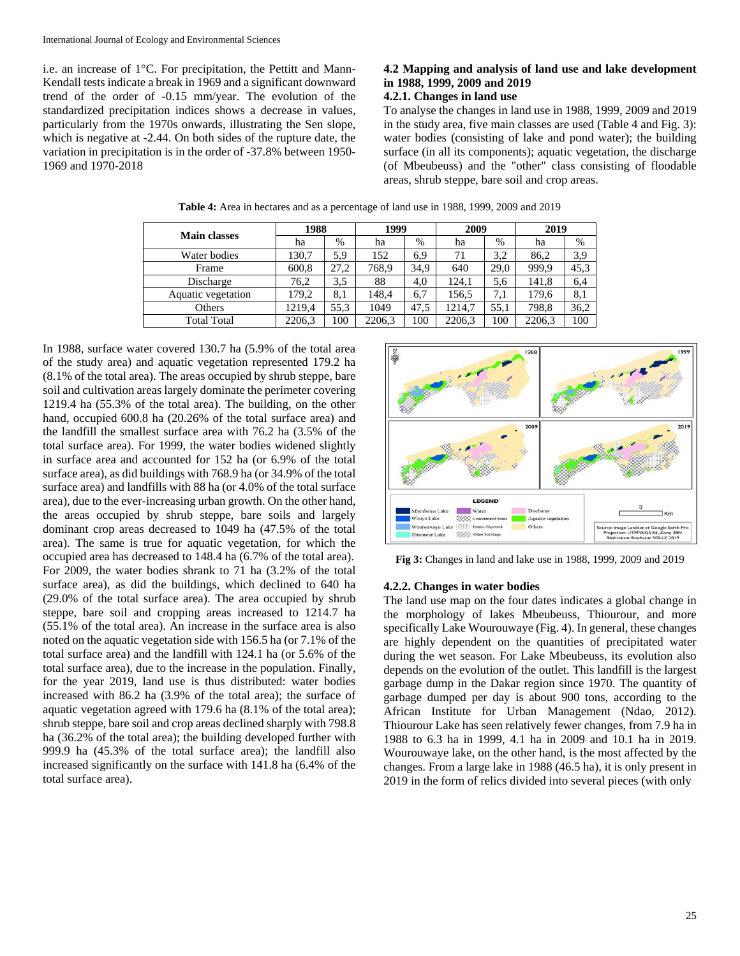i.e. an increase of 1°C. For precipitation, the Pettitt and Mann-Kendall tests indicate a break in 1969 and a significant downward trend of the order of -0.15 mm/year. The evolution of the standardized precipitation indices shows a decrease in values, particularly from the 1970s onwards, illustrating the Sen slope, which is negative at -2.44. On both sides of the rupture date, the variation in precipitation is in the order of -37.8% between 1950- 1969 and 1970-2018

## **4.2 Mapping and analysis of land use and lake development in 1988, 1999, 2009 and 2019**

#### **4.2.1. Changes in land use**

To analyse the changes in land use in 1988, 1999, 2009 and 2019 in the study area, five main classes are used (Table 4 and Fig. 3): water bodies (consisting of lake and pond water); the building surface (in all its components); aquatic vegetation, the discharge (of Mbeubeuss) and the "other" class consisting of floodable areas, shrub steppe, bare soil and crop areas.

| <b>Main classes</b> | 1988   |      | 1999   |      | 2009   |      | 2019   |      |
|---------------------|--------|------|--------|------|--------|------|--------|------|
|                     | ha     | %    | ha     | $\%$ | ha     | $\%$ | ha     | $\%$ |
| Water bodies        | 130,7  | 5,9  | 152    | 6,9  | 71     | 3.2  | 86,2   | 3,9  |
| Frame               | 600,8  | 27,2 | 768,9  | 34,9 | 640    | 29,0 | 999,9  | 45,3 |
| Discharge           | 76,2   | 3,5  | 88     | 4,0  | 124.1  | 5,6  | 141,8  | 6,4  |
| Aquatic vegetation  | 179,2  | 8,1  | 148,4  | 6,7  | 156,5  | 7.1  | 179,6  | 8,1  |
| Others              | 1219.4 | 55,3 | 1049   | 47,5 | 1214.7 | 55.1 | 798,8  | 36,2 |
| <b>Total Total</b>  | 2206,3 | 100  | 2206,3 | 100  | 2206,3 | 100  | 2206,3 | 100  |

**Table 4:** Area in hectares and as a percentage of land use in 1988, 1999, 2009 and 2019

In 1988, surface water covered 130.7 ha (5.9% of the total area of the study area) and aquatic vegetation represented 179.2 ha (8.1% of the total area). The areas occupied by shrub steppe, bare soil and cultivation areas largely dominate the perimeter covering 1219.4 ha (55.3% of the total area). The building, on the other hand, occupied 600.8 ha (20.26% of the total surface area) and the landfill the smallest surface area with 76.2 ha (3.5% of the total surface area). For 1999, the water bodies widened slightly in surface area and accounted for 152 ha (or 6.9% of the total surface area), as did buildings with 768.9 ha (or 34.9% of the total surface area) and landfills with 88 ha (or 4.0% of the total surface area), due to the ever-increasing urban growth. On the other hand, the areas occupied by shrub steppe, bare soils and largely dominant crop areas decreased to 1049 ha (47.5% of the total area). The same is true for aquatic vegetation, for which the occupied area has decreased to 148.4 ha (6.7% of the total area). For 2009, the water bodies shrank to 71 ha (3.2% of the total surface area), as did the buildings, which declined to 640 ha (29.0% of the total surface area). The area occupied by shrub steppe, bare soil and cropping areas increased to 1214.7 ha (55.1% of the total area). An increase in the surface area is also noted on the aquatic vegetation side with 156.5 ha (or 7.1% of the total surface area) and the landfill with 124.1 ha (or 5.6% of the total surface area), due to the increase in the population. Finally, for the year 2019, land use is thus distributed: water bodies increased with 86.2 ha (3.9% of the total area); the surface of aquatic vegetation agreed with 179.6 ha (8.1% of the total area); shrub steppe, bare soil and crop areas declined sharply with 798.8 ha (36.2% of the total area); the building developed further with 999.9 ha (45.3% of the total surface area); the landfill also increased significantly on the surface with 141.8 ha (6.4% of the total surface area).



**Fig 3:** Changes in land and lake use in 1988, 1999, 2009 and 2019

#### **4.2.2. Changes in water bodies**

The land use map on the four dates indicates a global change in the morphology of lakes Mbeubeuss, Thiourour, and more specifically Lake Wourouwaye (Fig. 4). In general, these changes are highly dependent on the quantities of precipitated water during the wet season. For Lake Mbeubeuss, its evolution also depends on the evolution of the outlet. This landfill is the largest garbage dump in the Dakar region since 1970. The quantity of garbage dumped per day is about 900 tons, according to the African Institute for Urban Management (Ndao, 2012). Thiourour Lake has seen relatively fewer changes, from 7.9 ha in 1988 to 6.3 ha in 1999, 4.1 ha in 2009 and 10.1 ha in 2019. Wourouwaye lake, on the other hand, is the most affected by the changes. From a large lake in 1988 (46.5 ha), it is only present in 2019 in the form of relics divided into several pieces (with only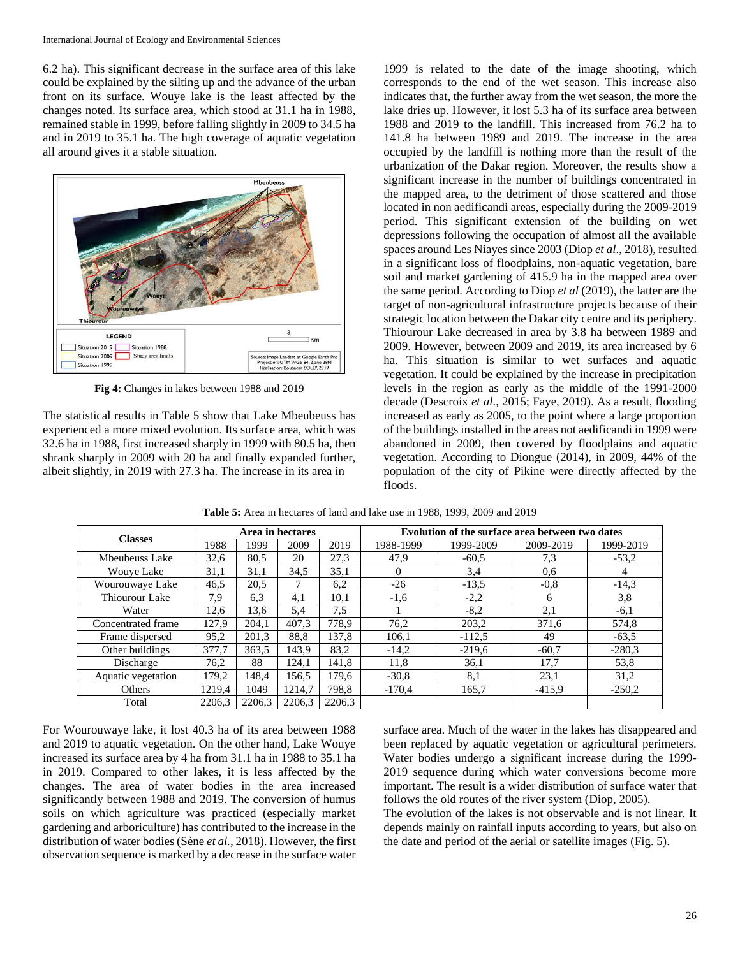6.2 ha). This significant decrease in the surface area of this lake could be explained by the silting up and the advance of the urban front on its surface. Wouye lake is the least affected by the changes noted. Its surface area, which stood at 31.1 ha in 1988, remained stable in 1999, before falling slightly in 2009 to 34.5 ha and in 2019 to 35.1 ha. The high coverage of aquatic vegetation all around gives it a stable situation.



**Fig 4:** Changes in lakes between 1988 and 2019

The statistical results in Table 5 show that Lake Mbeubeuss has experienced a more mixed evolution. Its surface area, which was 32.6 ha in 1988, first increased sharply in 1999 with 80.5 ha, then shrank sharply in 2009 with 20 ha and finally expanded further, albeit slightly, in 2019 with 27.3 ha. The increase in its area in

1999 is related to the date of the image shooting, which corresponds to the end of the wet season. This increase also indicates that, the further away from the wet season, the more the lake dries up. However, it lost 5.3 ha of its surface area between 1988 and 2019 to the landfill. This increased from 76.2 ha to 141.8 ha between 1989 and 2019. The increase in the area occupied by the landfill is nothing more than the result of the urbanization of the Dakar region. Moreover, the results show a significant increase in the number of buildings concentrated in the mapped area, to the detriment of those scattered and those located in non aedificandi areas, especially during the 2009-2019 period. This significant extension of the building on wet depressions following the occupation of almost all the available spaces around Les Niayes since 2003 (Diop *et al*., 2018), resulted in a significant loss of floodplains, non-aquatic vegetation, bare soil and market gardening of 415.9 ha in the mapped area over the same period. According to Diop *et al* (2019), the latter are the target of non-agricultural infrastructure projects because of their strategic location between the Dakar city centre and its periphery. Thiourour Lake decreased in area by 3.8 ha between 1989 and 2009. However, between 2009 and 2019, its area increased by 6 ha. This situation is similar to wet surfaces and aquatic vegetation. It could be explained by the increase in precipitation levels in the region as early as the middle of the 1991-2000 decade (Descroix *et al*., 2015; Faye, 2019). As a result, flooding increased as early as 2005, to the point where a large proportion of the buildings installed in the areas not aedificandi in 1999 were abandoned in 2009, then covered by floodplains and aquatic vegetation. According to Diongue (2014), in 2009, 44% of the population of the city of Pikine were directly affected by the floods.

| <b>Classes</b>     | Area in hectares |        |        |        | Evolution of the surface area between two dates |           |           |                |  |
|--------------------|------------------|--------|--------|--------|-------------------------------------------------|-----------|-----------|----------------|--|
|                    | 1988             | 1999   | 2009   | 2019   | 1988-1999                                       | 1999-2009 | 2009-2019 | 1999-2019      |  |
| Mbeubeuss Lake     | 32,6             | 80.5   | 20     | 27,3   | 47,9                                            | $-60.5$   | 7.3       | $-53.2$        |  |
| <b>Wouve Lake</b>  | 31,1             | 31,1   | 34,5   | 35,1   | 0                                               | 3.4       | 0.6       | $\overline{4}$ |  |
| Wourouwaye Lake    | 46,5             | 20.5   |        | 6,2    | $-26$                                           | $-13.5$   | $-0.8$    | $-14,3$        |  |
| Thiourour Lake     | 7,9              | 6.3    | 4,1    | 10,1   | $-1,6$                                          | $-2,2$    | 6         | 3,8            |  |
| Water              | 12,6             | 13,6   | 5.4    | 7,5    |                                                 | $-8,2$    | 2,1       | $-6,1$         |  |
| Concentrated frame | 127.9            | 204.1  | 407.3  | 778,9  | 76,2                                            | 203,2     | 371.6     | 574,8          |  |
| Frame dispersed    | 95,2             | 201,3  | 88,8   | 137.8  | 106,1                                           | $-112,5$  | 49        | $-63.5$        |  |
| Other buildings    | 377.7            | 363.5  | 143.9  | 83,2   | $-14,2$                                         | $-219,6$  | $-60.7$   | $-280.3$       |  |
| Discharge          | 76,2             | 88     | 124.1  | 141,8  | 11,8                                            | 36,1      | 17,7      | 53,8           |  |
| Aquatic vegetation | 179,2            | 148.4  | 156.5  | 179.6  | $-30.8$                                         | 8,1       | 23,1      | 31,2           |  |
| Others             | 1219.4           | 1049   | 1214.7 | 798.8  | $-170.4$                                        | 165,7     | $-415.9$  | $-250.2$       |  |
| Total              | 2206.3           | 2206.3 | 2206,3 | 2206.3 |                                                 |           |           |                |  |

**Table 5:** Area in hectares of land and lake use in 1988, 1999, 2009 and 2019

For Wourouwaye lake, it lost 40.3 ha of its area between 1988 and 2019 to aquatic vegetation. On the other hand, Lake Wouye increased its surface area by 4 ha from 31.1 ha in 1988 to 35.1 ha in 2019. Compared to other lakes, it is less affected by the changes. The area of water bodies in the area increased significantly between 1988 and 2019. The conversion of humus soils on which agriculture was practiced (especially market gardening and arboriculture) has contributed to the increase in the distribution of water bodies (Sène *et al.*, 2018). However, the first observation sequence is marked by a decrease in the surface water

surface area. Much of the water in the lakes has disappeared and been replaced by aquatic vegetation or agricultural perimeters. Water bodies undergo a significant increase during the 1999- 2019 sequence during which water conversions become more important. The result is a wider distribution of surface water that follows the old routes of the river system (Diop, 2005).

The evolution of the lakes is not observable and is not linear. It depends mainly on rainfall inputs according to years, but also on the date and period of the aerial or satellite images (Fig. 5).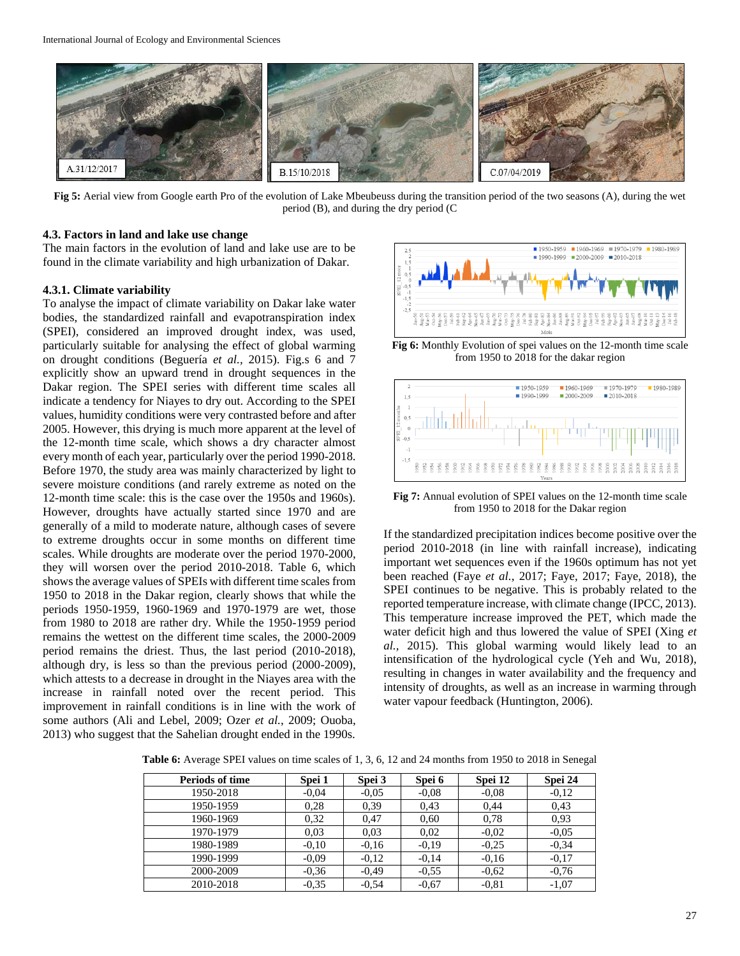

**Fig 5:** Aerial view from Google earth Pro of the evolution of Lake Mbeubeuss during the transition period of the two seasons (A), during the wet period (B), and during the dry period (C

#### **4.3. Factors in land and lake use change**

The main factors in the evolution of land and lake use are to be found in the climate variability and high urbanization of Dakar.

#### **4.3.1. Climate variability**

To analyse the impact of climate variability on Dakar lake water bodies, the standardized rainfall and evapotranspiration index (SPEI), considered an improved drought index, was used, particularly suitable for analysing the effect of global warming on drought conditions (Beguería *et al.,* 2015). Fig.s 6 and 7 explicitly show an upward trend in drought sequences in the Dakar region. The SPEI series with different time scales all indicate a tendency for Niayes to dry out. According to the SPEI values, humidity conditions were very contrasted before and after 2005. However, this drying is much more apparent at the level of the 12-month time scale, which shows a dry character almost every month of each year, particularly over the period 1990-2018. Before 1970, the study area was mainly characterized by light to severe moisture conditions (and rarely extreme as noted on the 12-month time scale: this is the case over the 1950s and 1960s). However, droughts have actually started since 1970 and are generally of a mild to moderate nature, although cases of severe to extreme droughts occur in some months on different time scales. While droughts are moderate over the period 1970-2000, they will worsen over the period 2010-2018. Table 6, which shows the average values of SPEIs with different time scales from 1950 to 2018 in the Dakar region, clearly shows that while the periods 1950-1959, 1960-1969 and 1970-1979 are wet, those from 1980 to 2018 are rather dry. While the 1950-1959 period remains the wettest on the different time scales, the 2000-2009 period remains the driest. Thus, the last period (2010-2018), although dry, is less so than the previous period (2000-2009), which attests to a decrease in drought in the Niayes area with the increase in rainfall noted over the recent period. This improvement in rainfall conditions is in line with the work of some authors (Ali and Lebel, 2009; Ozer *et al.*, 2009; Ouoba, 2013) who suggest that the Sahelian drought ended in the 1990s.



**Fig 6:** Monthly Evolution of spei values on the 12-month time scale from 1950 to 2018 for the dakar region



**Fig 7:** Annual evolution of SPEI values on the 12-month time scale from 1950 to 2018 for the Dakar region

If the standardized precipitation indices become positive over the period 2010-2018 (in line with rainfall increase), indicating important wet sequences even if the 1960s optimum has not yet been reached (Faye *et al.*, 2017; Faye, 2017; Faye, 2018), the SPEI continues to be negative. This is probably related to the reported temperature increase, with climate change (IPCC, 2013). This temperature increase improved the PET, which made the water deficit high and thus lowered the value of SPEI (Xing *et al.,* 2015). This global warming would likely lead to an intensification of the hydrological cycle (Yeh and Wu, 2018), resulting in changes in water availability and the frequency and intensity of droughts, as well as an increase in warming through water vapour feedback (Huntington, 2006).

| <b>Periods of time</b> | Spei 1  | Spei 3  | Spei 6  | Spei 12 | Spei 24 |
|------------------------|---------|---------|---------|---------|---------|
| 1950-2018              | $-0.04$ | $-0.05$ | $-0.08$ | $-0.08$ | $-0.12$ |
| 1950-1959              | 0.28    | 0.39    | 0.43    | 0,44    | 0.43    |
| 1960-1969              | 0.32    | 0,47    | 0,60    | 0.78    | 0.93    |
| 1970-1979              | 0.03    | 0.03    | 0,02    | $-0.02$ | $-0.05$ |
| 1980-1989              | $-0.10$ | $-0.16$ | $-0.19$ | $-0.25$ | $-0.34$ |
| 1990-1999              | $-0.09$ | $-0.12$ | $-0,14$ | $-0.16$ | $-0.17$ |
| 2000-2009              | $-0.36$ | $-0.49$ | $-0.55$ | $-0.62$ | $-0.76$ |
| 2010-2018              | $-0.35$ | $-0.54$ | $-0.67$ | $-0.81$ | $-1,07$ |

**Table 6:** Average SPEI values on time scales of 1, 3, 6, 12 and 24 months from 1950 to 2018 in Senegal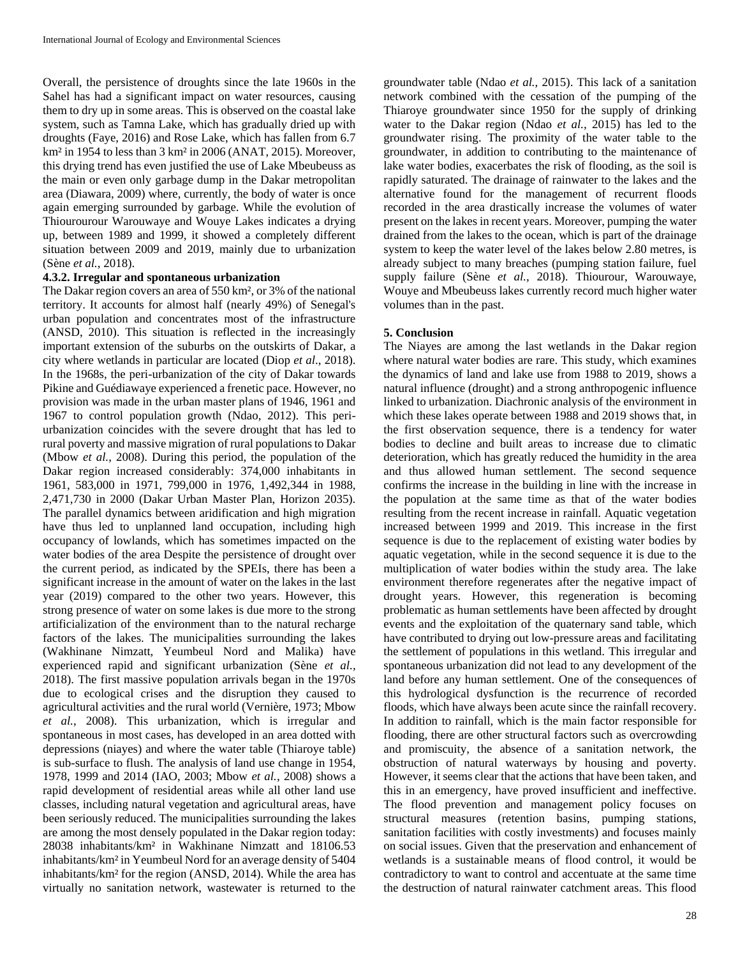Overall, the persistence of droughts since the late 1960s in the Sahel has had a significant impact on water resources, causing them to dry up in some areas. This is observed on the coastal lake system, such as Tamna Lake, which has gradually dried up with droughts (Faye, 2016) and Rose Lake, which has fallen from 6.7 km² in 1954 to less than 3 km² in 2006 (ANAT, 2015). Moreover, this drying trend has even justified the use of Lake Mbeubeuss as the main or even only garbage dump in the Dakar metropolitan area (Diawara, 2009) where, currently, the body of water is once again emerging surrounded by garbage. While the evolution of Thiourourour Warouwaye and Wouye Lakes indicates a drying up, between 1989 and 1999, it showed a completely different situation between 2009 and 2019, mainly due to urbanization (Sène *et al.*, 2018).

#### **4.3.2. Irregular and spontaneous urbanization**

The Dakar region covers an area of 550 km², or 3% of the national territory. It accounts for almost half (nearly 49%) of Senegal's urban population and concentrates most of the infrastructure (ANSD, 2010). This situation is reflected in the increasingly important extension of the suburbs on the outskirts of Dakar, a city where wetlands in particular are located (Diop *et al*., 2018). In the 1968s, the peri-urbanization of the city of Dakar towards Pikine and Guédiawaye experienced a frenetic pace. However, no provision was made in the urban master plans of 1946, 1961 and 1967 to control population growth (Ndao, 2012). This periurbanization coincides with the severe drought that has led to rural poverty and massive migration of rural populations to Dakar (Mbow *et al.*, 2008). During this period, the population of the Dakar region increased considerably: 374,000 inhabitants in 1961, 583,000 in 1971, 799,000 in 1976, 1,492,344 in 1988, 2,471,730 in 2000 (Dakar Urban Master Plan, Horizon 2035). The parallel dynamics between aridification and high migration have thus led to unplanned land occupation, including high occupancy of lowlands, which has sometimes impacted on the water bodies of the area Despite the persistence of drought over the current period, as indicated by the SPEIs, there has been a significant increase in the amount of water on the lakes in the last year (2019) compared to the other two years. However, this strong presence of water on some lakes is due more to the strong artificialization of the environment than to the natural recharge factors of the lakes. The municipalities surrounding the lakes (Wakhinane Nimzatt, Yeumbeul Nord and Malika) have experienced rapid and significant urbanization (Sène *et al.*, 2018). The first massive population arrivals began in the 1970s due to ecological crises and the disruption they caused to agricultural activities and the rural world (Vernière, 1973; Mbow *et al.*, 2008). This urbanization, which is irregular and spontaneous in most cases, has developed in an area dotted with depressions (niayes) and where the water table (Thiaroye table) is sub-surface to flush. The analysis of land use change in 1954, 1978, 1999 and 2014 (IAO, 2003; Mbow *et al.*, 2008) shows a rapid development of residential areas while all other land use classes, including natural vegetation and agricultural areas, have been seriously reduced. The municipalities surrounding the lakes are among the most densely populated in the Dakar region today: 28038 inhabitants/km² in Wakhinane Nimzatt and 18106.53 inhabitants/km² in Yeumbeul Nord for an average density of 5404 inhabitants/km² for the region (ANSD, 2014). While the area has virtually no sanitation network, wastewater is returned to the groundwater table (Ndao *et al.*, 2015). This lack of a sanitation network combined with the cessation of the pumping of the Thiaroye groundwater since 1950 for the supply of drinking water to the Dakar region (Ndao *et al.*, 2015) has led to the groundwater rising. The proximity of the water table to the groundwater, in addition to contributing to the maintenance of lake water bodies, exacerbates the risk of flooding, as the soil is rapidly saturated. The drainage of rainwater to the lakes and the alternative found for the management of recurrent floods recorded in the area drastically increase the volumes of water present on the lakes in recent years. Moreover, pumping the water drained from the lakes to the ocean, which is part of the drainage system to keep the water level of the lakes below 2.80 metres, is already subject to many breaches (pumping station failure, fuel supply failure (Sène *et al.*, 2018). Thiourour, Warouwaye, Wouye and Mbeubeuss lakes currently record much higher water volumes than in the past.

#### **5. Conclusion**

The Niayes are among the last wetlands in the Dakar region where natural water bodies are rare. This study, which examines the dynamics of land and lake use from 1988 to 2019, shows a natural influence (drought) and a strong anthropogenic influence linked to urbanization. Diachronic analysis of the environment in which these lakes operate between 1988 and 2019 shows that, in the first observation sequence, there is a tendency for water bodies to decline and built areas to increase due to climatic deterioration, which has greatly reduced the humidity in the area and thus allowed human settlement. The second sequence confirms the increase in the building in line with the increase in the population at the same time as that of the water bodies resulting from the recent increase in rainfall. Aquatic vegetation increased between 1999 and 2019. This increase in the first sequence is due to the replacement of existing water bodies by aquatic vegetation, while in the second sequence it is due to the multiplication of water bodies within the study area. The lake environment therefore regenerates after the negative impact of drought years. However, this regeneration is becoming problematic as human settlements have been affected by drought events and the exploitation of the quaternary sand table, which have contributed to drying out low-pressure areas and facilitating the settlement of populations in this wetland. This irregular and spontaneous urbanization did not lead to any development of the land before any human settlement. One of the consequences of this hydrological dysfunction is the recurrence of recorded floods, which have always been acute since the rainfall recovery. In addition to rainfall, which is the main factor responsible for flooding, there are other structural factors such as overcrowding and promiscuity, the absence of a sanitation network, the obstruction of natural waterways by housing and poverty. However, it seems clear that the actions that have been taken, and this in an emergency, have proved insufficient and ineffective. The flood prevention and management policy focuses on structural measures (retention basins, pumping stations, sanitation facilities with costly investments) and focuses mainly on social issues. Given that the preservation and enhancement of wetlands is a sustainable means of flood control, it would be contradictory to want to control and accentuate at the same time the destruction of natural rainwater catchment areas. This flood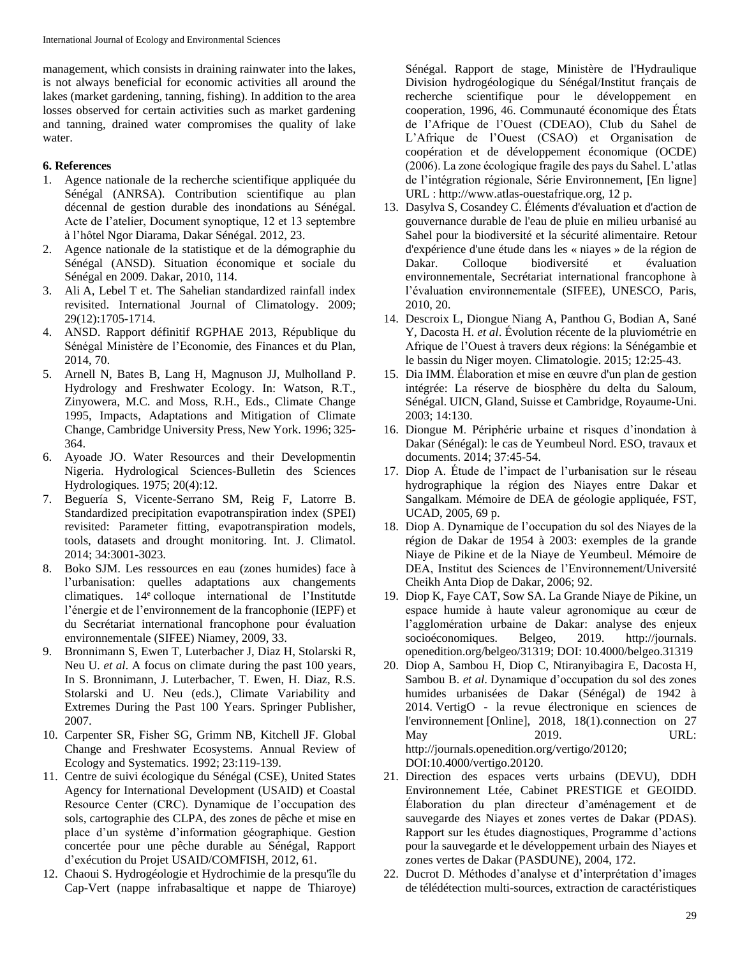management, which consists in draining rainwater into the lakes, is not always beneficial for economic activities all around the lakes (market gardening, tanning, fishing). In addition to the area losses observed for certain activities such as market gardening and tanning, drained water compromises the quality of lake water.

### **6. References**

- 1. Agence nationale de la recherche scientifique appliquée du Sénégal (ANRSA). Contribution scientifique au plan décennal de gestion durable des inondations au Sénégal. Acte de l'atelier, Document synoptique, 12 et 13 septembre à l'hôtel Ngor Diarama, Dakar Sénégal. 2012, 23.
- 2. Agence nationale de la statistique et de la démographie du Sénégal (ANSD). Situation économique et sociale du Sénégal en 2009. Dakar, 2010, 114.
- 3. Ali A, Lebel T et. The Sahelian standardized rainfall index revisited. International Journal of Climatology. 2009; 29(12):1705-1714.
- 4. ANSD. Rapport définitif RGPHAE 2013, République du Sénégal Ministère de l'Economie, des Finances et du Plan, 2014, 70.
- 5. Arnell N, Bates B, Lang H, Magnuson JJ, Mulholland P. Hydrology and Freshwater Ecology. In: Watson, R.T., Zinyowera, M.C. and Moss, R.H., Eds., Climate Change 1995, Impacts, Adaptations and Mitigation of Climate Change, Cambridge University Press, New York. 1996; 325- 364.
- 6. Ayoade JO. Water Resources and their Developmentin Nigeria. Hydrological Sciences-Bulletin des Sciences Hydrologiques. 1975; 20(4):12.
- 7. Beguería S, Vicente-Serrano SM, Reig F, Latorre B. Standardized precipitation evapotranspiration index (SPEI) revisited: Parameter fitting, evapotranspiration models, tools, datasets and drought monitoring. Int. J. Climatol. 2014; 34:3001-3023.
- 8. Boko SJM. Les ressources en eau (zones humides) face à l'urbanisation: quelles adaptations aux changements climatiques. 14<sup>e</sup> colloque international de l'Institutde l'énergie et de l'environnement de la francophonie (IEPF) et du Secrétariat international francophone pour évaluation environnementale (SIFEE) Niamey, 2009, 33.
- 9. Bronnimann S, Ewen T, Luterbacher J, Diaz H, Stolarski R, Neu U. *et al*. A focus on climate during the past 100 years, In S. Bronnimann, J. Luterbacher, T. Ewen, H. Diaz, R.S. Stolarski and U. Neu (eds.), Climate Variability and Extremes During the Past 100 Years. Springer Publisher, 2007.
- 10. Carpenter SR, Fisher SG, Grimm NB, Kitchell JF. Global Change and Freshwater Ecosystems. Annual Review of Ecology and Systematics. 1992; 23:119-139.
- 11. Centre de suivi écologique du Sénégal (CSE), United States Agency for International Development (USAID) et Coastal Resource Center (CRC). Dynamique de l'occupation des sols, cartographie des CLPA, des zones de pêche et mise en place d'un système d'information géographique. Gestion concertée pour une pêche durable au Sénégal, Rapport d'exécution du Projet USAID/COMFISH, 2012, 61.
- 12. Chaoui S. Hydrogéologie et Hydrochimie de la presqu'île du Cap-Vert (nappe infrabasaltique et nappe de Thiaroye)

Sénégal. Rapport de stage, Ministère de l'Hydraulique Division hydrogéologique du Sénégal/Institut français de recherche scientifique pour le développement en cooperation, 1996, 46. Communauté économique des États de l'Afrique de l'Ouest (CDEAO), Club du Sahel de L'Afrique de l'Ouest (CSAO) et Organisation de coopération et de développement économique (OCDE) (2006). La zone écologique fragile des pays du Sahel. L'atlas de l'intégration régionale, Série Environnement, [En ligne] URL : http://www.atlas-ouestafrique.org, 12 p.

- 13. Dasylva S, Cosandey C. Éléments d'évaluation et d'action de gouvernance durable de l'eau de pluie en milieu urbanisé au Sahel pour la biodiversité et la sécurité alimentaire. Retour d'expérience d'une étude dans les « niayes » de la région de Dakar. Colloque biodiversité et évaluation environnementale, Secrétariat international francophone à l'évaluation environnementale (SIFEE), UNESCO, Paris, 2010, 20.
- 14. Descroix L, Diongue Niang A, Panthou G, Bodian A, Sané Y, Dacosta H. *et al*. Évolution récente de la pluviométrie en Afrique de l'Ouest à travers deux régions: la Sénégambie et le bassin du Niger moyen. Climatologie. 2015; 12:25-43.
- 15. Dia IMM. Élaboration et mise en œuvre d'un plan de gestion intégrée: La réserve de biosphère du delta du Saloum, Sénégal. UICN, Gland, Suisse et Cambridge, Royaume-Uni. 2003; 14:130.
- 16. Diongue M. Périphérie urbaine et risques d'inondation à Dakar (Sénégal): le cas de Yeumbeul Nord. ESO, travaux et documents. 2014; 37:45-54.
- 17. Diop A. Étude de l'impact de l'urbanisation sur le réseau hydrographique la région des Niayes entre Dakar et Sangalkam. Mémoire de DEA de géologie appliquée, FST, UCAD, 2005, 69 p.
- 18. Diop A. Dynamique de l'occupation du sol des Niayes de la région de Dakar de 1954 à 2003: exemples de la grande Niaye de Pikine et de la Niaye de Yeumbeul. Mémoire de DEA, Institut des Sciences de l'Environnement/Université Cheikh Anta Diop de Dakar, 2006; 92.
- 19. Diop K, Faye CAT, Sow SA. La Grande Niaye de Pikine, un espace humide à haute valeur agronomique au cœur de l'agglomération urbaine de Dakar: analyse des enjeux socioéconomiques. Belgeo, 2019. http://journals. openedition.org/belgeo/31319; DOI: 10.4000/belgeo.31319
- 20. Diop A, Sambou H, Diop C, Ntiranyibagira E, Dacosta H, Sambou B. *et al*. Dynamique d'occupation du sol des zones humides urbanisées de Dakar (Sénégal) de 1942 à 2014. VertigO - la revue électronique en sciences de l'environnement [Online], 2018, 18(1).connection on 27 May 2019. URL: http://journals.openedition.org/vertigo/20120; DOI:10.4000/vertigo.20120.
- 21. Direction des espaces verts urbains (DEVU), DDH Environnement Ltée, Cabinet PRESTIGE et GEOIDD. Élaboration du plan directeur d'aménagement et de sauvegarde des Niayes et zones vertes de Dakar (PDAS). Rapport sur les études diagnostiques, Programme d'actions pour la sauvegarde et le développement urbain des Niayes et zones vertes de Dakar (PASDUNE), 2004, 172.
- 22. Ducrot D. Méthodes d'analyse et d'interprétation d'images de télédétection multi-sources, extraction de caractéristiques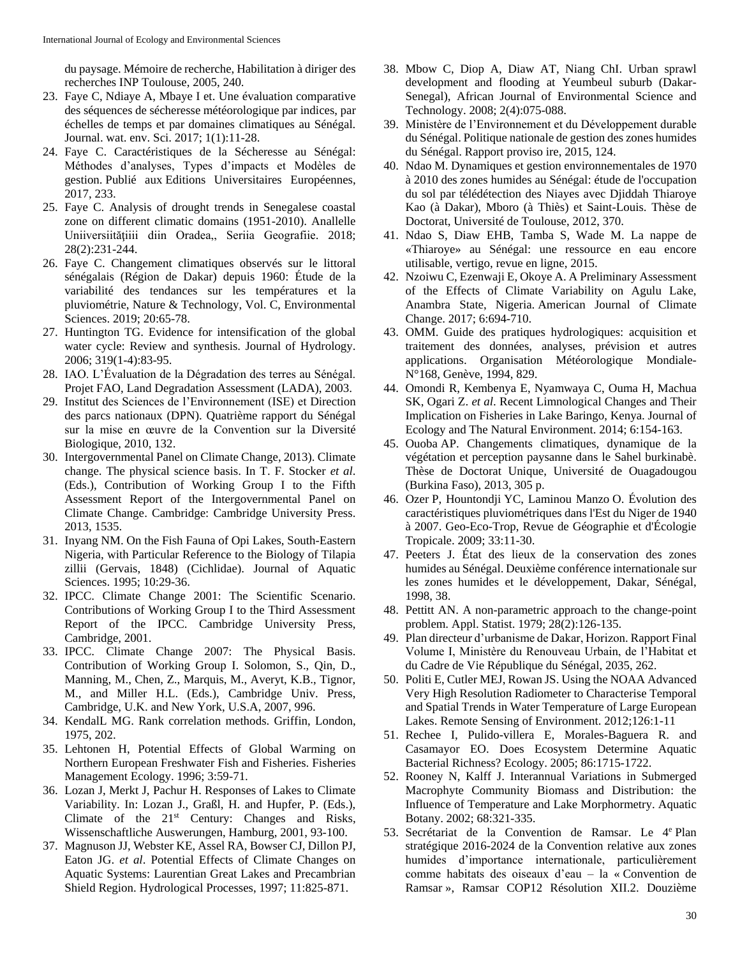du paysage. Mémoire de recherche, Habilitation à diriger des recherches INP Toulouse, 2005, 240.

- 23. Faye C, Ndiaye A, Mbaye I et. Une évaluation comparative des séquences de sécheresse météorologique par indices, par échelles de temps et par domaines climatiques au Sénégal. Journal. wat. env. Sci. 2017; 1(1):11-28.
- 24. Faye C. Caractéristiques de la Sécheresse au Sénégal: Méthodes d'analyses, Types d'impacts et Modèles de gestion. Publié aux Editions Universitaires Européennes, 2017, 233.
- 25. Faye C. Analysis of drought trends in Senegalese coastal zone on different climatic domains (1951-2010). Anallelle Uniiversiitățiiii diin Oradea,, Seriia Geografiie. 2018; 28(2):231-244.
- 26. Faye C. Changement climatiques observés sur le littoral sénégalais (Région de Dakar) depuis 1960: Étude de la variabilité des tendances sur les températures et la pluviométrie, Nature & Technology, Vol. C, Environmental Sciences. 2019; 20:65-78.
- 27. Huntington TG. Evidence for intensification of the global water cycle: Review and synthesis. Journal of Hydrology. 2006; 319(1-4):83-95.
- 28. IAO. L'Évaluation de la Dégradation des terres au Sénégal. Projet FAO, Land Degradation Assessment (LADA), 2003.
- 29. Institut des Sciences de l'Environnement (ISE) et Direction des parcs nationaux (DPN). Quatrième rapport du Sénégal sur la mise en œuvre de la Convention sur la Diversité Biologique, 2010, 132.
- 30. Intergovernmental Panel on Climate Change, 2013). Climate change. The physical science basis. In T. F. Stocker *et al*. (Eds.), Contribution of Working Group I to the Fifth Assessment Report of the Intergovernmental Panel on Climate Change. Cambridge: Cambridge University Press. 2013, 1535.
- 31. Inyang NM. On the Fish Fauna of Opi Lakes, South-Eastern Nigeria, with Particular Reference to the Biology of Tilapia zillii (Gervais, 1848) (Cichlidae). Journal of Aquatic Sciences. 1995; 10:29-36.
- 32. IPCC. Climate Change 2001: The Scientific Scenario. Contributions of Working Group I to the Third Assessment Report of the IPCC. Cambridge University Press, Cambridge, 2001.
- 33. IPCC. Climate Change 2007: The Physical Basis. Contribution of Working Group I. Solomon, S., Qin, D., Manning, M., Chen, Z., Marquis, M., Averyt, K.B., Tignor, M., and Miller H.L. (Eds.), Cambridge Univ. Press, Cambridge, U.K. and New York, U.S.A, 2007, 996.
- 34. KendalL MG. Rank correlation methods. Griffin, London, 1975, 202.
- 35. Lehtonen H, Potential Effects of Global Warming on Northern European Freshwater Fish and Fisheries. Fisheries Management Ecology. 1996; 3:59-71.
- 36. Lozan J, Merkt J, Pachur H. Responses of Lakes to Climate Variability. In: Lozan J., Graßl, H. and Hupfer, P. (Eds.), Climate of the  $21<sup>st</sup>$  Century: Changes and Risks, Wissenschaftliche Auswerungen, Hamburg, 2001, 93-100.
- 37. Magnuson JJ, Webster KE, Assel RA, Bowser CJ, Dillon PJ, Eaton JG. *et al*. Potential Effects of Climate Changes on Aquatic Systems: Laurentian Great Lakes and Precambrian Shield Region. Hydrological Processes, 1997; 11:825-871.
- 38. Mbow C, Diop A, Diaw AT, Niang ChI. Urban sprawl development and flooding at Yeumbeul suburb (Dakar-Senegal), African Journal of Environmental Science and Technology. 2008; 2(4):075-088.
- 39. Ministère de l'Environnement et du Développement durable du Sénégal. Politique nationale de gestion des zones humides du Sénégal. Rapport proviso ire, 2015, 124.
- 40. Ndao M. Dynamiques et gestion environnementales de 1970 à 2010 des zones humides au Sénégal: étude de l'occupation du sol par télédétection des Niayes avec Djiddah Thiaroye Kao (à Dakar), Mboro (à Thiès) et Saint-Louis. Thèse de Doctorat, Université de Toulouse, 2012, 370.
- 41. Ndao S, Diaw EHB, Tamba S, Wade M. La nappe de «Thiaroye» au Sénégal: une ressource en eau encore utilisable, vertigo, revue en ligne, 2015.
- 42. Nzoiwu C, Ezenwaji E, Okoye A. A Preliminary Assessment of the Effects of Climate Variability on Agulu Lake, Anambra State, Nigeria. American Journal of Climate Change. 2017; 6:694-710.
- 43. OMM. Guide des pratiques hydrologiques: acquisition et traitement des données, analyses, prévision et autres applications. Organisation Météorologique Mondiale-N°168, Genève, 1994, 829.
- 44. Omondi R, Kembenya E, Nyamwaya C, Ouma H, Machua SK, Ogari Z. *et al*. Recent Limnological Changes and Their Implication on Fisheries in Lake Baringo, Kenya. Journal of Ecology and The Natural Environment. 2014; 6:154-163.
- 45. Ouoba AP. Changements climatiques, dynamique de la végétation et perception paysanne dans le Sahel burkinabè. Thèse de Doctorat Unique, Université de Ouagadougou (Burkina Faso), 2013, 305 p.
- 46. Ozer P, Hountondji YC, Laminou Manzo O. Évolution des caractéristiques pluviométriques dans l'Est du Niger de 1940 à 2007. Geo-Eco-Trop, Revue de Géographie et d'Écologie Tropicale. 2009; 33:11-30.
- 47. Peeters J. État des lieux de la conservation des zones humides au Sénégal. Deuxième conférence internationale sur les zones humides et le développement, Dakar, Sénégal, 1998, 38.
- 48. Pettitt AN. A non-parametric approach to the change-point problem. Appl. Statist. 1979; 28(2):126-135.
- 49. Plan directeur d'urbanisme de Dakar, Horizon. Rapport Final Volume I, Ministère du Renouveau Urbain, de l'Habitat et du Cadre de Vie République du Sénégal, 2035, 262.
- 50. Politi E, Cutler MEJ, Rowan JS. Using the NOAA Advanced Very High Resolution Radiometer to Characterise Temporal and Spatial Trends in Water Temperature of Large European Lakes. Remote Sensing of Environment. 2012;126:1-11
- 51. Rechee I, Pulido-villera E, Morales-Baguera R. and Casamayor EO. Does Ecosystem Determine Aquatic Bacterial Richness? Ecology. 2005; 86:1715-1722.
- 52. Rooney N, Kalff J. Interannual Variations in Submerged Macrophyte Community Biomass and Distribution: the Influence of Temperature and Lake Morphormetry. Aquatic Botany. 2002; 68:321-335.
- 53. Secrétariat de la Convention de Ramsar. Le 4<sup>e</sup> Plan stratégique 2016-2024 de la Convention relative aux zones humides d'importance internationale, particulièrement comme habitats des oiseaux d'eau – la « Convention de Ramsar », Ramsar COP12 Résolution XII.2. Douzième